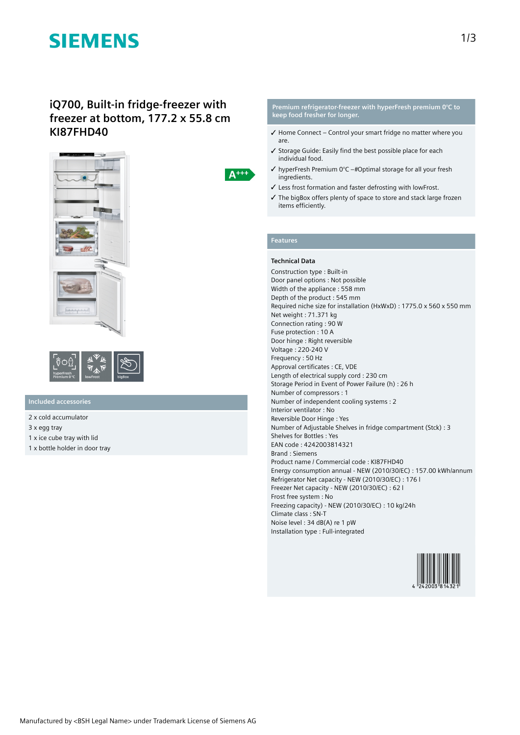# **SIEMENS**

## **iQ700, Built-in fridge-freezer with freezer at bottom, 177.2 x 55.8 cm KI87FHD40**





## **Included accessories**

- 2 x cold accumulator
- 3 x egg tray
- 1 x ice cube tray with lid
- 1 x bottle holder in door tray

#### **Premium refrigerator-freezer with hyperFresh premium 0°C to keep food fresher for longer.**

- ✓ Home Connect Control your smart fridge no matter where you are.
- ✓ Storage Guide: Easily find the best possible place for each individual food.
- $\checkmark$  hyperFresh Premium 0°C –#Optimal storage for all your fresh ingredients.
- ✓ Less frost formation and faster defrosting with lowFrost.
- ✓ The bigBox offers plenty of space to store and stack large frozen items efficiently.

### **Features**

#### **Technical Data**

Construction type : Built-in Door panel options : Not possible Width of the appliance : 558 mm Depth of the product : 545 mm Required niche size for installation (HxWxD) : 1775.0 x 560 x 550 mm Net weight : 71.371 kg Connection rating : 90 W Fuse protection : 10 A Door hinge : Right reversible Voltage : 220-240 V Frequency : 50 Hz Approval certificates : CE, VDE Length of electrical supply cord : 230 cm Storage Period in Event of Power Failure (h) : 26 h Number of compressors : 1 Number of independent cooling systems : 2 Interior ventilator : No Reversible Door Hinge : Yes Number of Adjustable Shelves in fridge compartment (Stck) : 3 Shelves for Bottles : Yes EAN code : 4242003814321 Brand : Siemens Product name / Commercial code : KI87FHD40 Energy consumption annual - NEW (2010/30/EC) : 157.00 kWh/annum Refrigerator Net capacity - NEW (2010/30/EC) : 176 l Freezer Net capacity - NEW (2010/30/EC) : 62 l Frost free system : No Freezing capacity) - NEW (2010/30/EC) : 10 kg/24h Climate class : SN-T Noise level : 34 dB(A) re 1 pW Installation type : Full-integrated



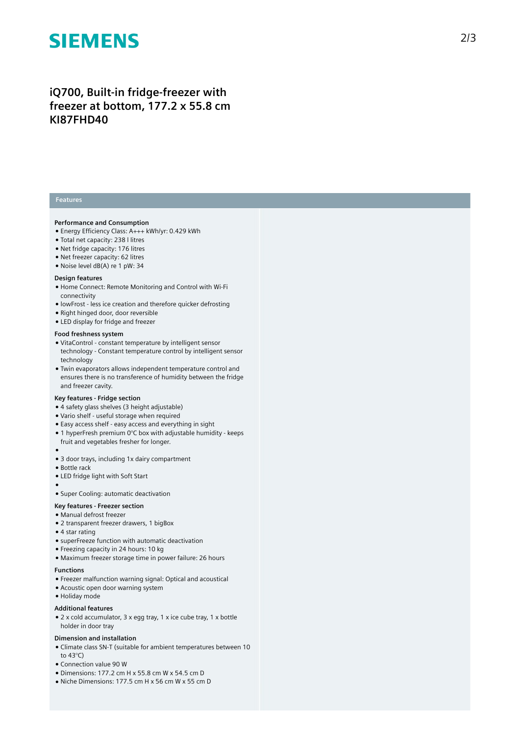# **SIEMENS**

# iQ700, Built-in fridge-freezer with freezer at bottom, 177.2 x 55.8 cm **KI87FHD40**

### **Features**

#### **Performance and Consumption**

- Energy Efficiency Class: A+++ kWh/yr: 0.429 kWh
- Total net capacity: 238 l litres
- Net fridge capacity: 176 litres
- Net freezer capacity: 62 litres
- Noise level dB(A) re 1 pW: 34

#### Design features

- Home Connect: Remote Monitoring and Control with Wi-Fi connectivity
- lowFrost less ice creation and therefore quicker defrosting
- Right hinged door, door reversible
- LED display for fridge and freezer

#### Food freshness system

- VitaControl constant temperature by intelligent sensor technology - Constant temperature control by intelligent sensor t e c h n olo g y
- Twin evaporators allows independent temperature control and ensures there is no transference of humidity between the fridge and freezer cavity.

#### **Key features - Fridge section**

- 4 safety glass shelves (3 height adjustable)
- Vario shelf useful storage when required
- Easy access shelf easy access and everything in sight
- 1 hyperFresh premium  $0^{\circ}$ C box with adjustable humidity keeps fruit and vegetables fresher for longer.
- 
- ●<br>● 3 door trays, including 1x dairy compartment
- Bottle rack
- LED fridge light with Soft Start
- ●<br>● Super Cooling: automatic deactivation

## Key features - Freezer section

### • Manual defrost freezer

- 2 transparent freezer drawers, 1 bigBox
- 4 star rating
- superFreeze function with automatic deactivation
- Freezing capacity in 24 hours: 10 kg
- Maximum freezer storage time in power failure: 26 hours

#### **F u n c t i o n s**

- Freezer malfunction warning signal: Optical and acoustical
- Acoustic open door warning system
- Holiday mode

#### **Additional features**

• 2 x cold accumulator, 3 x egg tray, 1 x ice cube tray, 1 x bottle holder in door tray

#### Dimension and installation

- Climate class SN-T (suitable for ambient temperatures between 10 to 43°C)
- Connection value 90 W
- Dimensions: 177.2 cm H x 55.8 cm W x 54.5 cm D
- Niche Dimensions: 177.5 cm H x 56 cm W x 55 cm D